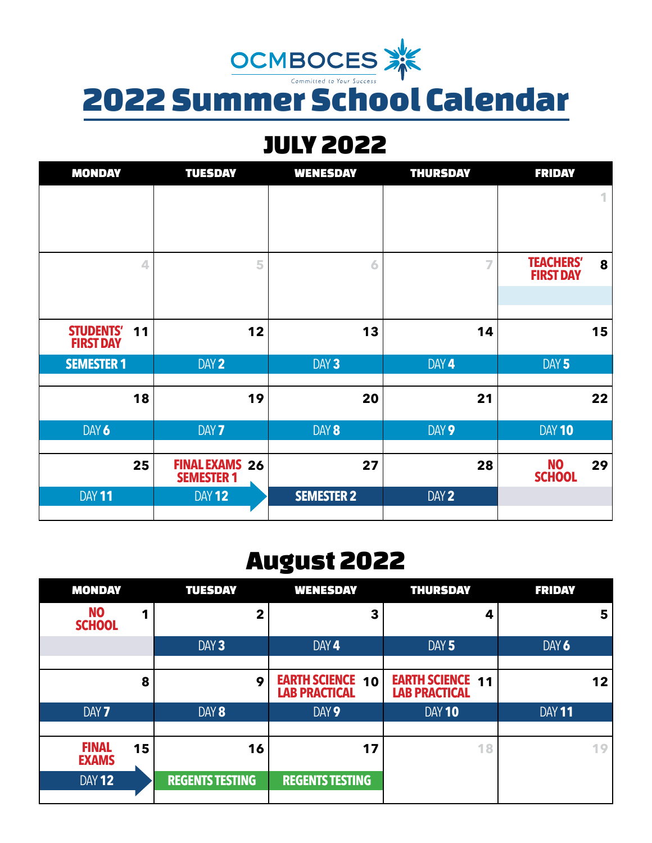

# JULY 2022

| <b>MONDAY</b>                    | <b>TUESDAY</b>                             | <b>WENESDAY</b>   | <b>THURSDAY</b> | <b>FRIDAY</b>                             |
|----------------------------------|--------------------------------------------|-------------------|-----------------|-------------------------------------------|
|                                  |                                            |                   |                 | 1                                         |
|                                  |                                            |                   |                 |                                           |
|                                  |                                            |                   |                 |                                           |
| 4                                | 5                                          | 6                 | $\overline{7}$  | <b>TEACHERS'</b><br>8<br><b>FIRST DAY</b> |
|                                  |                                            |                   |                 |                                           |
|                                  |                                            |                   |                 |                                           |
| STUDENTS' 11<br><b>FIRST DAY</b> | 12                                         | 13                | 14              | 15                                        |
| <b>SEMESTER 1</b>                | DAY 2                                      | DAY <sub>3</sub>  | DAY 4           | DAY 5                                     |
|                                  |                                            |                   |                 |                                           |
| 18                               | 19                                         | 20                | 21              | 22                                        |
| DAY 6                            | DAY <sub>7</sub>                           | DAY 8             | DAY 9           | DAY 10                                    |
|                                  |                                            |                   |                 |                                           |
| 25                               | <b>FINAL EXAMS 26</b><br><b>SEMESTER 1</b> | 27                | 28              | <b>NO</b><br>29<br><b>SCHOOL</b>          |
| <b>DAY 11</b>                    | <b>DAY 12</b>                              | <b>SEMESTER 2</b> | DAY 2           |                                           |
|                                  |                                            |                   |                 |                                           |

## August 2022

| <b>MONDAY</b>                      | <b>TUESDAY</b>         | <b>WENESDAY</b>                                 | <b>THURSDAY</b>                                 | <b>FRIDAY</b> |
|------------------------------------|------------------------|-------------------------------------------------|-------------------------------------------------|---------------|
| <b>NO</b><br><b>SCHOOL</b>         | 2                      | 3                                               | 4                                               | 5             |
|                                    | DAY <sub>3</sub>       | DAY 4                                           | DAY <sub>5</sub>                                | DAY 6         |
| 8                                  | 9                      | <b>EARTH SCIENCE 10</b><br><b>LAB PRACTICAL</b> | <b>EARTH SCIENCE 11</b><br><b>LAB PRACTICAL</b> | 12            |
| DAY <sub>7</sub>                   | DAY 8                  | DAY 9                                           | DAY 10                                          | <b>DAY 11</b> |
| <b>FINAL</b><br>15<br><b>EXAMS</b> | 16                     | 17                                              | 18                                              | 19            |
| DAY 12                             | <b>REGENTS TESTING</b> | <b>REGENTS TESTING</b>                          |                                                 |               |